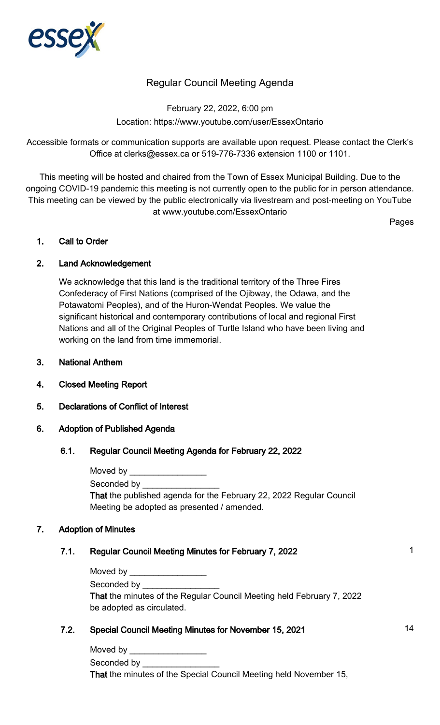

# Regular Council Meeting Agenda

February 22, 2022, 6:00 pm Location: https://www.youtube.com/user/EssexOntario

Accessible formats or communication supports are available upon request. Please contact the Clerk's Office at clerks@essex.ca or 519-776-7336 extension 1100 or 1101.

This meeting will be hosted and chaired from the Town of Essex Municipal Building. Due to the ongoing COVID-19 pandemic this meeting is not currently open to the public for in person attendance. This meeting can be viewed by the public electronically via livestream and post-meeting on YouTube at www.youtube.com/EssexOntario

Pages

#### 1. Call to Order

## 2. Land Acknowledgement

We acknowledge that this land is the traditional territory of the Three Fires Confederacy of First Nations (comprised of the Ojibway, the Odawa, and the Potawatomi Peoples), and of the Huron-Wendat Peoples. We value the significant historical and contemporary contributions of local and regional First Nations and all of the Original Peoples of Turtle Island who have been living and working on the land from time immemorial.

- 3. National Anthem
- 4. Closed Meeting Report
- 5. Declarations of Conflict of Interest

#### 6. Adoption of Published Agenda

#### 6.1. Regular Council Meeting Agenda for February 22, 2022

| Moved by                                                                   |
|----------------------------------------------------------------------------|
| Seconded by <b>Seconded</b>                                                |
| <b>That the published agenda for the February 22, 2022 Regular Council</b> |
| Meeting be adopted as presented / amended.                                 |

#### 7. Adoption of Minutes

## 7.1. Regular Council Meeting Minutes for February 7, 2022 1996 1997 1998

| Moved by the control of the control of the control of the control of the control of the control of the control of the control of the control of the control of the control of the control of the control of the control of the |
|--------------------------------------------------------------------------------------------------------------------------------------------------------------------------------------------------------------------------------|
| Seconded by the second state of the second state of the second state of the second state of the second state o                                                                                                                 |
| That the minutes of the Regular Council Meeting held February 7, 2022                                                                                                                                                          |
| be adopted as circulated.                                                                                                                                                                                                      |

## 7.2. Special Council Meeting Minutes for November 15, 2021 14

Moved by Seconded by That the minutes of the Special Council Meeting held November 15,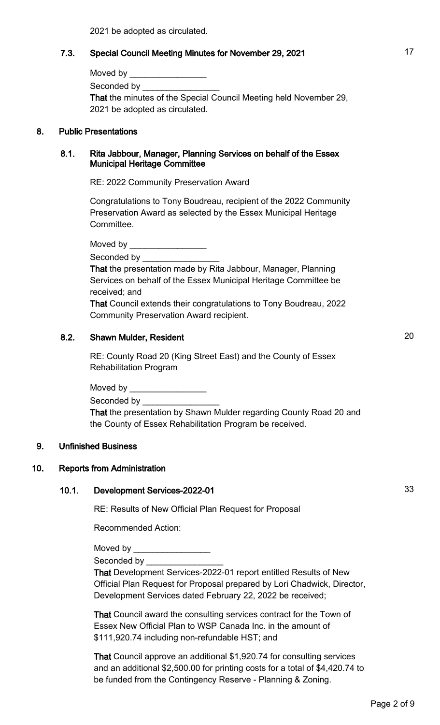2021 be adopted as circulated.

## 7.3. Special Council Meeting Minutes for November 29, 2021 17

| Moved by                                                          |
|-------------------------------------------------------------------|
| Seconded by <b>Seconded</b> by                                    |
| That the minutes of the Special Council Meeting held November 29, |
| 2021 be adopted as circulated.                                    |

#### 8. Public Presentations

#### 8.1. Rita Jabbour, Manager, Planning Services on behalf of the Essex Municipal Heritage Committee

RE: 2022 Community Preservation Award

Congratulations to Tony Boudreau, recipient of the 2022 Community Preservation Award as selected by the Essex Municipal Heritage Committee.

Moved by **we cannot** 

Seconded by

That the presentation made by Rita Jabbour, Manager, Planning Services on behalf of the Essex Municipal Heritage Committee be received; and

That Council extends their congratulations to Tony Boudreau, 2022 Community Preservation Award recipient.

## 8.2. Shawn Mulder, Resident 20 and 20

RE: County Road 20 (King Street East) and the County of Essex Rehabilitation Program

Moved by  $\rule{1em}{0.15mm}$ 

Seconded by \_\_\_\_\_\_

That the presentation by Shawn Mulder regarding County Road 20 and the County of Essex Rehabilitation Program be received.

## 9. Unfinished Business

#### 10. Reports from Administration

#### 10.1. Development Services-2022-01 33

RE: Results of New Official Plan Request for Proposal

Recommended Action:

Moved by

Seconded by \_\_\_\_\_\_\_\_\_\_\_\_\_\_\_\_

That Development Services-2022-01 report entitled Results of New Official Plan Request for Proposal prepared by Lori Chadwick, Director, Development Services dated February 22, 2022 be received;

That Council award the consulting services contract for the Town of Essex New Official Plan to WSP Canada Inc. in the amount of \$111,920.74 including non-refundable HST; and

That Council approve an additional \$1,920.74 for consulting services and an additional \$2,500.00 for printing costs for a total of \$4,420.74 to be funded from the Contingency Reserve - Planning & Zoning.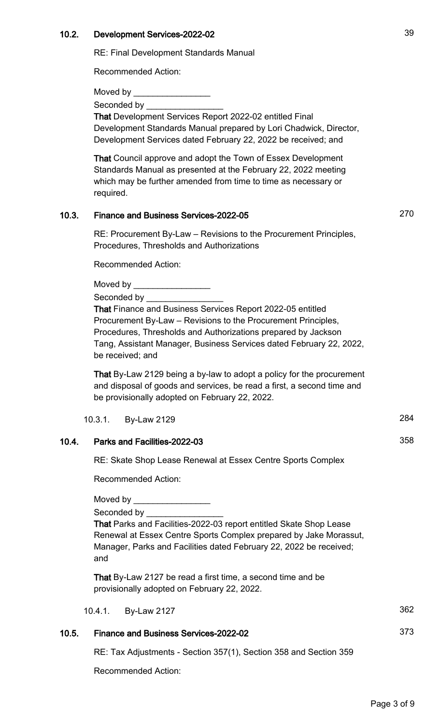#### 10.2. Development Services-2022-02 39

RE: Final Development Standards Manual

Recommended Action:

Moved by

Seconded by

That Development Services Report 2022-02 entitled Final Development Standards Manual prepared by Lori Chadwick, Director, Development Services dated February 22, 2022 be received; and

That Council approve and adopt the Town of Essex Development Standards Manual as presented at the February 22, 2022 meeting which may be further amended from time to time as necessary or required.

# 10.3. Finance and Business Services-2022-05 270

RE: Procurement By-Law – Revisions to the Procurement Principles, Procedures, Thresholds and Authorizations

Recommended Action:

Moved by

Seconded by

That Finance and Business Services Report 2022-05 entitled Procurement By-Law – Revisions to the Procurement Principles, Procedures, Thresholds and Authorizations prepared by Jackson Tang, Assistant Manager, Business Services dated February 22, 2022, be received; and

That By-Law 2129 being a by-law to adopt a policy for the procurement and disposal of goods and services, be read a first, a second time and be provisionally adopted on February 22, 2022.

10.3.1. By-Law 2129 284

## 10.4. Parks and Facilities-2022-03 358

RE: Skate Shop Lease Renewal at Essex Centre Sports Complex

Recommended Action:

Moved by **Example** 

Seconded by

That Parks and Facilities-2022-03 report entitled Skate Shop Lease Renewal at Essex Centre Sports Complex prepared by Jake Morassut, Manager, Parks and Facilities dated February 22, 2022 be received; and

That By-Law 2127 be read a first time, a second time and be provisionally adopted on February 22, 2022.

10.4.1. By-Law 2127 362

## 10.5. Finance and Business Services-2022-02

RE: Tax Adjustments - Section 357(1), Section 358 and Section 359

Recommended Action: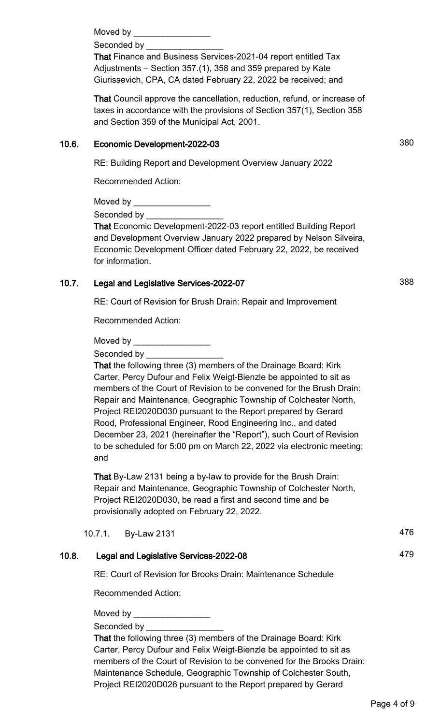Moved by \_\_\_\_\_\_\_\_\_\_\_\_\_\_\_\_

Seconded by

That Finance and Business Services-2021-04 report entitled Tax Adjustments – Section 357.(1), 358 and 359 prepared by Kate Giurissevich, CPA, CA dated February 22, 2022 be received; and

That Council approve the cancellation, reduction, refund, or increase of taxes in accordance with the provisions of Section 357(1), Section 358 and Section 359 of the Municipal Act, 2001.

## 10.6. Economic Development-2022-03 380

RE: Building Report and Development Overview January 2022

Recommended Action:

Moved by

Seconded by

That Economic Development-2022-03 report entitled Building Report and Development Overview January 2022 prepared by Nelson Silveira, Economic Development Officer dated February 22, 2022, be received for information.

## 10.7. Legal and Legislative Services-2022-07 388

RE: Court of Revision for Brush Drain: Repair and Improvement

Recommended Action:

Moved by **Example** 

Seconded by \_\_\_\_\_\_

That the following three (3) members of the Drainage Board: Kirk Carter, Percy Dufour and Felix Weigt-Bienzle be appointed to sit as members of the Court of Revision to be convened for the Brush Drain: Repair and Maintenance, Geographic Township of Colchester North, Project REI2020D030 pursuant to the Report prepared by Gerard Rood, Professional Engineer, Rood Engineering Inc., and dated December 23, 2021 (hereinafter the "Report"), such Court of Revision to be scheduled for 5:00 pm on March 22, 2022 via electronic meeting; and

That By-Law 2131 being a by-law to provide for the Brush Drain: Repair and Maintenance, Geographic Township of Colchester North, Project REI2020D030, be read a first and second time and be provisionally adopted on February 22, 2022.

10.7.1. By-Law 2131 476

## 10.8. Legal and Legislative Services-2022-08 479

RE: Court of Revision for Brooks Drain: Maintenance Schedule

Recommended Action:

Moved by  $\_\_$ 

Seconded by

That the following three (3) members of the Drainage Board: Kirk Carter, Percy Dufour and Felix Weigt-Bienzle be appointed to sit as members of the Court of Revision to be convened for the Brooks Drain: Maintenance Schedule, Geographic Township of Colchester South, Project REI2020D026 pursuant to the Report prepared by Gerard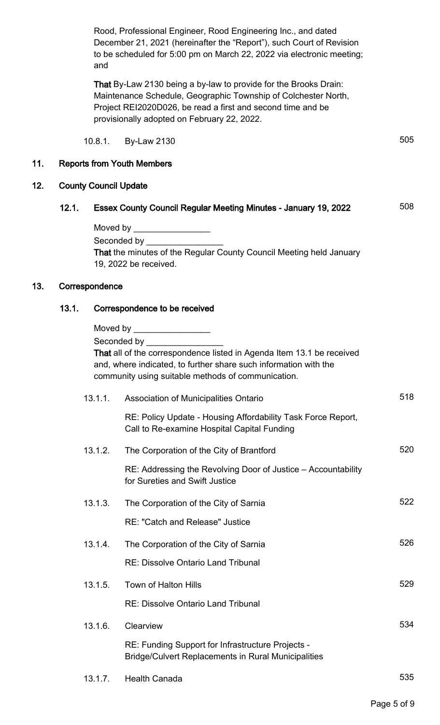Rood, Professional Engineer, Rood Engineering Inc., and dated December 21, 2021 (hereinafter the "Report"), such Court of Revision to be scheduled for 5:00 pm on March 22, 2022 via electronic meeting; and

That By-Law 2130 being a by-law to provide for the Brooks Drain: Maintenance Schedule, Geographic Township of Colchester North, Project REI2020D026, be read a first and second time and be provisionally adopted on February 22, 2022.

10.8.1. By-Law 2130 505

## 11. Reports from Youth Members

## 12. County Council Update

# 12.1. Essex County Council Regular Meeting Minutes - January 19, 2022 **508**

| Moved by                                                                   |
|----------------------------------------------------------------------------|
| Seconded by <b>Seconded</b> by                                             |
| <b>That the minutes of the Regular County Council Meeting held January</b> |
| 19, 2022 be received.                                                      |

#### 13. Correspondence

## 13.1. Correspondence to be received

|         | Moved by ___________________<br>Seconded by Seconded by<br>That all of the correspondence listed in Agenda Item 13.1 be received<br>and, where indicated, to further share such information with the<br>community using suitable methods of communication. |     |
|---------|------------------------------------------------------------------------------------------------------------------------------------------------------------------------------------------------------------------------------------------------------------|-----|
| 13.1.1. | <b>Association of Municipalities Ontario</b>                                                                                                                                                                                                               | 518 |
|         | RE: Policy Update - Housing Affordability Task Force Report,<br>Call to Re-examine Hospital Capital Funding                                                                                                                                                |     |
| 13.1.2. | The Corporation of the City of Brantford                                                                                                                                                                                                                   | 520 |
|         | RE: Addressing the Revolving Door of Justice – Accountability<br>for Sureties and Swift Justice                                                                                                                                                            |     |
| 13.1.3. | The Corporation of the City of Sarnia                                                                                                                                                                                                                      | 522 |
|         | <b>RE: "Catch and Release" Justice</b>                                                                                                                                                                                                                     |     |
| 13.1.4. | The Corporation of the City of Sarnia                                                                                                                                                                                                                      | 526 |
|         | <b>RE: Dissolve Ontario Land Tribunal</b>                                                                                                                                                                                                                  |     |
| 13.1.5. | Town of Halton Hills                                                                                                                                                                                                                                       | 529 |
|         | <b>RE: Dissolve Ontario Land Tribunal</b>                                                                                                                                                                                                                  |     |
| 13.1.6. | Clearview                                                                                                                                                                                                                                                  | 534 |
|         | RE: Funding Support for Infrastructure Projects -<br><b>Bridge/Culvert Replacements in Rural Municipalities</b>                                                                                                                                            |     |
| 13.1.7. | <b>Health Canada</b>                                                                                                                                                                                                                                       | 535 |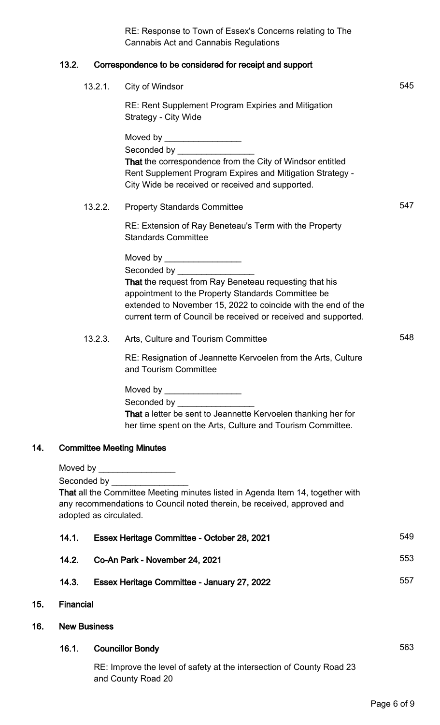|     |                     |                                                  | RE: Response to Town of Essex's Concerns relating to The<br><b>Cannabis Act and Cannabis Regulations</b>                                                                                                                                        |     |
|-----|---------------------|--------------------------------------------------|-------------------------------------------------------------------------------------------------------------------------------------------------------------------------------------------------------------------------------------------------|-----|
|     | 13.2.               |                                                  | Correspondence to be considered for receipt and support                                                                                                                                                                                         |     |
|     |                     | 13.2.1.                                          | City of Windsor                                                                                                                                                                                                                                 | 545 |
|     |                     |                                                  | RE: Rent Supplement Program Expiries and Mitigation<br>Strategy - City Wide                                                                                                                                                                     |     |
|     |                     |                                                  | Moved by ____________________<br>That the correspondence from the City of Windsor entitled<br>Rent Supplement Program Expires and Mitigation Strategy -<br>City Wide be received or received and supported.                                     |     |
|     |                     | 13.2.2.                                          | <b>Property Standards Committee</b>                                                                                                                                                                                                             | 547 |
|     |                     |                                                  | RE: Extension of Ray Beneteau's Term with the Property<br><b>Standards Committee</b>                                                                                                                                                            |     |
|     |                     |                                                  | Moved by _____________________                                                                                                                                                                                                                  |     |
|     |                     |                                                  | That the request from Ray Beneteau requesting that his<br>appointment to the Property Standards Committee be<br>extended to November 15, 2022 to coincide with the end of the<br>current term of Council be received or received and supported. |     |
|     |                     | 13.2.3.                                          | Arts, Culture and Tourism Committee                                                                                                                                                                                                             | 548 |
|     |                     |                                                  | RE: Resignation of Jeannette Kervoelen from the Arts, Culture<br>and Tourism Committee                                                                                                                                                          |     |
|     |                     |                                                  | Seconded by _________________<br>That a letter be sent to Jeannette Kervoelen thanking her for<br>her time spent on the Arts, Culture and Tourism Committee.                                                                                    |     |
| 14. |                     |                                                  | <b>Committee Meeting Minutes</b>                                                                                                                                                                                                                |     |
|     |                     |                                                  | Moved by ____________________                                                                                                                                                                                                                   |     |
|     |                     | Seconded by __________<br>adopted as circulated. | That all the Committee Meeting minutes listed in Agenda Item 14, together with<br>any recommendations to Council noted therein, be received, approved and                                                                                       |     |
|     | 14.1.               |                                                  | Essex Heritage Committee - October 28, 2021                                                                                                                                                                                                     | 549 |
|     | 14.2.               |                                                  | Co-An Park - November 24, 2021                                                                                                                                                                                                                  | 553 |
|     | 14.3.               |                                                  | Essex Heritage Committee - January 27, 2022                                                                                                                                                                                                     | 557 |
| 15. | <b>Financial</b>    |                                                  |                                                                                                                                                                                                                                                 |     |
| 16. | <b>New Business</b> |                                                  |                                                                                                                                                                                                                                                 |     |
|     | 16.1.               |                                                  | <b>Councillor Bondy</b>                                                                                                                                                                                                                         | 563 |
|     |                     |                                                  | RE: Improve the level of safety at the intersection of County Road 23<br>and County Road 20                                                                                                                                                     |     |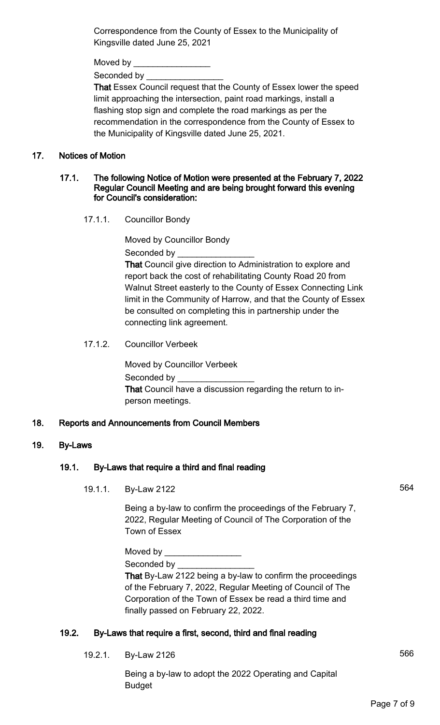Correspondence from the County of Essex to the Municipality of Kingsville dated June 25, 2021

Moved by  $\_$ 

Seconded by

That Essex Council request that the County of Essex lower the speed limit approaching the intersection, paint road markings, install a flashing stop sign and complete the road markings as per the recommendation in the correspondence from the County of Essex to the Municipality of Kingsville dated June 25, 2021.

## 17. Notices of Motion

#### 17.1. The following Notice of Motion were presented at the February 7, 2022 Regular Council Meeting and are being brought forward this evening for Council's consideration:

17.1.1. Councillor Bondy

Moved by Councillor Bondy Seconded by

That Council give direction to Administration to explore and report back the cost of rehabilitating County Road 20 from Walnut Street easterly to the County of Essex Connecting Link limit in the Community of Harrow, and that the County of Essex be consulted on completing this in partnership under the connecting link agreement.

17.1.2. Councillor Verbeek

Moved by Councillor Verbeek Seconded by That Council have a discussion regarding the return to inperson meetings.

# 18. Reports and Announcements from Council Members

# 19. By-Laws

# 19.1. By-Laws that require a third and final reading

19.1.1. By-Law 2122 564

Being a by-law to confirm the proceedings of the February 7, 2022, Regular Meeting of Council of The Corporation of the Town of Essex

Moved by  $\_\_$ 

Seconded by

That By-Law 2122 being a by-law to confirm the proceedings of the February 7, 2022, Regular Meeting of Council of The Corporation of the Town of Essex be read a third time and finally passed on February 22, 2022.

# 19.2. By-Laws that require a first, second, third and final reading

19.2.1. By-Law 2126 566

Being a by-law to adopt the 2022 Operating and Capital Budget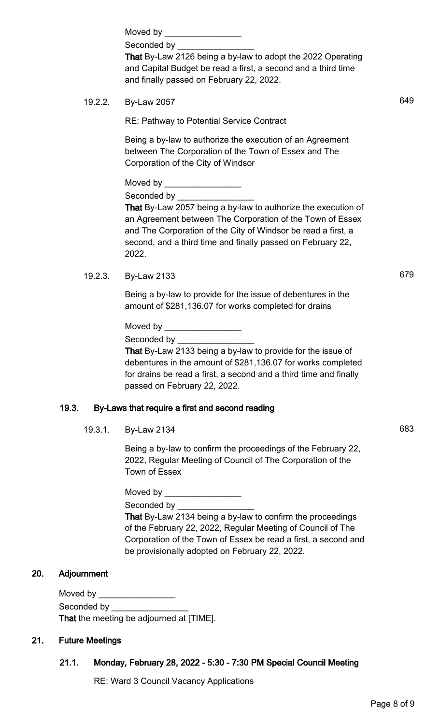|     |                               | Seconded by ________________<br>That By-Law 2126 being a by-law to adopt the 2022 Operating<br>and Capital Budget be read a first, a second and a third time<br>and finally passed on February 22, 2022.                                                                                                                               |     |
|-----|-------------------------------|----------------------------------------------------------------------------------------------------------------------------------------------------------------------------------------------------------------------------------------------------------------------------------------------------------------------------------------|-----|
|     | 19.2.2.                       | <b>By-Law 2057</b>                                                                                                                                                                                                                                                                                                                     | 649 |
|     |                               | <b>RE: Pathway to Potential Service Contract</b>                                                                                                                                                                                                                                                                                       |     |
|     |                               | Being a by-law to authorize the execution of an Agreement<br>between The Corporation of the Town of Essex and The<br>Corporation of the City of Windsor                                                                                                                                                                                |     |
|     |                               | Moved by ____________________<br>Seconded by __________________<br>That By-Law 2057 being a by-law to authorize the execution of<br>an Agreement between The Corporation of the Town of Essex<br>and The Corporation of the City of Windsor be read a first, a<br>second, and a third time and finally passed on February 22,<br>2022. |     |
|     | 19.2.3.                       | <b>By-Law 2133</b>                                                                                                                                                                                                                                                                                                                     | 679 |
|     |                               | Being a by-law to provide for the issue of debentures in the<br>amount of \$281,136.07 for works completed for drains                                                                                                                                                                                                                  |     |
|     |                               | Moved by ____________________<br>Seconded by ___________________<br>That By-Law 2133 being a by-law to provide for the issue of<br>debentures in the amount of \$281,136.07 for works completed<br>for drains be read a first, a second and a third time and finally<br>passed on February 22, 2022.                                   |     |
|     | 19.3.                         | By-Laws that require a first and second reading                                                                                                                                                                                                                                                                                        |     |
|     | 19.3.1.                       | <b>By-Law 2134</b>                                                                                                                                                                                                                                                                                                                     | 683 |
|     |                               | Being a by-law to confirm the proceedings of the February 22,<br>2022, Regular Meeting of Council of The Corporation of the<br>Town of Essex                                                                                                                                                                                           |     |
|     |                               | Moved by ___________________<br>Seconded by <b>Seconded</b> by <b>Seconded</b> by<br>That By-Law 2134 being a by-law to confirm the proceedings<br>of the February 22, 2022, Regular Meeting of Council of The<br>Corporation of the Town of Essex be read a first, a second and<br>be provisionally adopted on February 22, 2022.     |     |
| 20. | Adjournment                   |                                                                                                                                                                                                                                                                                                                                        |     |
|     | Moved by ____________________ | Seconded by __________________<br>That the meeting be adjourned at [TIME].                                                                                                                                                                                                                                                             |     |
|     |                               |                                                                                                                                                                                                                                                                                                                                        |     |

# 21. Future Meetings

## 21.1. Monday, February 28, 2022 - 5:30 - 7:30 PM Special Council Meeting

RE: Ward 3 Council Vacancy Applications